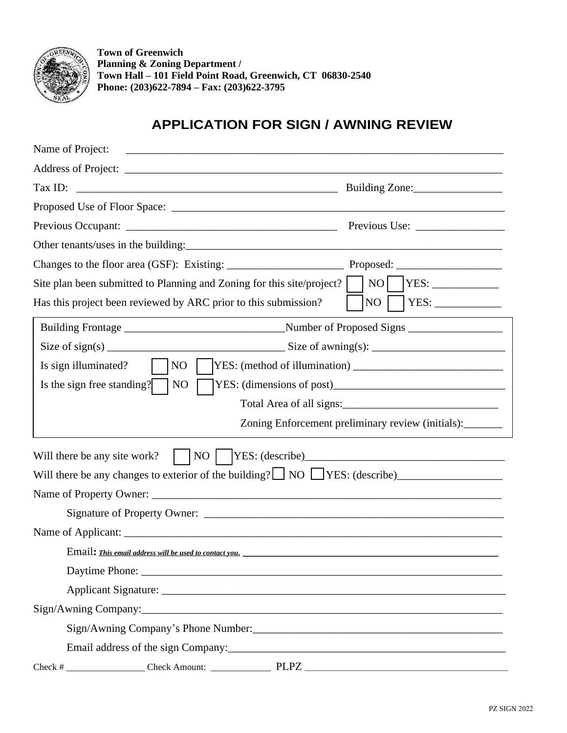

**Town of Greenwich Planning & Zoning Department / Town Hall – 101 Field Point Road, Greenwich, CT 06830-2540 Phone: (203)622-7894 – Fax: (203)622-3795**

## **APPLICATION FOR SIGN / AWNING REVIEW**

| Name of Project:                                                                                                                                                                                                              |                                                                                    |
|-------------------------------------------------------------------------------------------------------------------------------------------------------------------------------------------------------------------------------|------------------------------------------------------------------------------------|
|                                                                                                                                                                                                                               |                                                                                    |
| Tax ID:                                                                                                                                                                                                                       | Building Zone:                                                                     |
|                                                                                                                                                                                                                               |                                                                                    |
|                                                                                                                                                                                                                               |                                                                                    |
|                                                                                                                                                                                                                               |                                                                                    |
|                                                                                                                                                                                                                               |                                                                                    |
| NO <sub>1</sub><br>YES:<br>Site plan been submitted to Planning and Zoning for this site/project?                                                                                                                             |                                                                                    |
| Has this project been reviewed by ARC prior to this submission?                                                                                                                                                               | NO                                                                                 |
|                                                                                                                                                                                                                               |                                                                                    |
|                                                                                                                                                                                                                               | Size of sign(s) $\frac{1}{\sqrt{2\pi}}$ Size of awning(s): $\frac{1}{\sqrt{2\pi}}$ |
| NO<br>Is sign illuminated?                                                                                                                                                                                                    |                                                                                    |
| Is the sign free standing?<br>N <sub>O</sub>                                                                                                                                                                                  |                                                                                    |
|                                                                                                                                                                                                                               |                                                                                    |
| Zoning Enforcement preliminary review (initials):                                                                                                                                                                             |                                                                                    |
| $\overline{NQ}$<br>Will there be any site work?                                                                                                                                                                               |                                                                                    |
| Will there be any changes to exterior of the building? $\Box$ NO $\Box$ YES: (describe)                                                                                                                                       |                                                                                    |
| Name of Property Owner:                                                                                                                                                                                                       |                                                                                    |
|                                                                                                                                                                                                                               |                                                                                    |
|                                                                                                                                                                                                                               |                                                                                    |
| Email: This email address will be used to contact you.                                                                                                                                                                        |                                                                                    |
| Daytime Phone: 2008 and 2008 and 2008 and 2008 and 2008 and 2008 and 2008 and 2008 and 2008 and 2008 and 2008 and 2008 and 2008 and 2008 and 2008 and 2008 and 2008 and 2008 and 2008 and 2008 and 2008 and 2008 and 2008 and |                                                                                    |
|                                                                                                                                                                                                                               |                                                                                    |
|                                                                                                                                                                                                                               |                                                                                    |
|                                                                                                                                                                                                                               |                                                                                    |
|                                                                                                                                                                                                                               |                                                                                    |
|                                                                                                                                                                                                                               |                                                                                    |